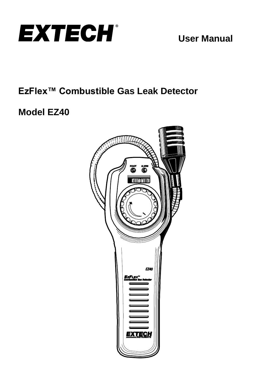

# **EzFlex™ Combustible Gas Leak Detector**

# **Model EZ40**

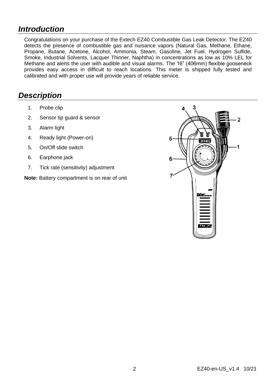### *Introduction*

Congratulations on your purchase of the Extech EZ40 Combustible Gas Leak Detector. The EZ40 detects the presence of combustible gas and nuisance vapors (Natural Gas, Methane, Ethane, Propane, Butane, Acetone, Alcohol, Ammonia, Steam, Gasoline, Jet Fuel, Hydrogen Sulfide, Smoke, Industrial Solvents, Lacquer Thinner, Naphtha) in concentrations as low as 10% LEL for Methane and alerts the user with audible and visual alarms. The 16" (406mm) flexible gooseneck provides easy access in difficult to reach locations. This meter is shipped fully tested and calibrated and with proper use will provide years of reliable service.

### *Description*

- 1. Probe clip
- 2. Sensor tip guard & sensor
- 3. Alarm light
- 4. Ready light (Power-on)
- 5. On/Off slide switch
- 6. Earphone jack
- 7. Tick rate (sensitivity) adjustment

**Note:** Battery compartment is on rear of unit

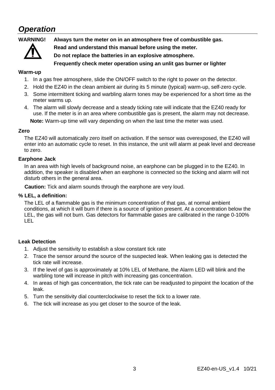### *Operation*



**WARNING! Always turn the meter on in an atmosphere free of combustible gas.**

**Read and understand this manual before using the meter.**

**Do not replace the batteries in an explosive atmosphere.**

**Frequently check meter operation using an unlit gas burner or lighter**

### **Warm-up**

- 1. In a gas free atmosphere, slide the ON/OFF switch to the right to power on the detector.
- 2. Hold the EZ40 in the clean ambient air during its 5 minute (typical) warm-up, self-zero cycle.
- 3. Some intermittent ticking and warbling alarm tones may be experienced for a short time as the meter warms up.
- 4. The alarm will slowly decrease and a steady ticking rate will indicate that the EZ40 ready for use. If the meter is in an area where combustible gas is present, the alarm may not decrease.

**Note:** Warm-up time will vary depending on when the last time the meter was used.

#### **Zero**

The EZ40 will automatically zero itself on activation. If the sensor was overexposed, the EZ40 will enter into an automatic cycle to reset. In this instance, the unit will alarm at peak level and decrease to zero.

#### **Earphone Jack**

In an area with high levels of background noise, an earphone can be plugged in to the EZ40. In addition, the speaker is disabled when an earphone is connected so the ticking and alarm will not disturb others in the general area.

**Caution:** Tick and alarm sounds through the earphone are very loud.

#### **% LEL, a definition:**

The LEL of a flammable gas is the minimum concentration of that gas, at normal ambient conditions, at which it will burn if there is a source of ignition present. At a concentration below the LEL, the gas will not burn. Gas detectors for flammable gases are calibrated in the range 0-100% LEL

#### **Leak Detection**

- 1. Adjust the sensitivity to establish a slow constant tick rate
- 2. Trace the sensor around the source of the suspected leak. When leaking gas is detected the tick rate will increase.
- 3. If the level of gas is approximately at 10% LEL of Methane, the Alarm LED will blink and the warbling tone will increase in pitch with increasing gas concentration.
- 4. In areas of high gas concentration, the tick rate can be readjusted to pinpoint the location of the leak.
- 5. Turn the sensitivity dial counterclockwise to reset the tick to a lower rate.
- 6. The tick will increase as you get closer to the source of the leak.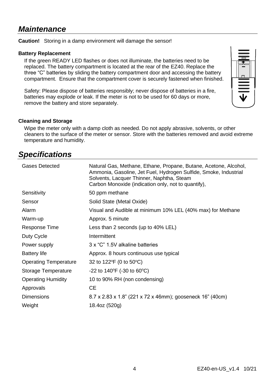### *Maintenance*

**Caution!** Storing in a damp environment will damage the sensor!

#### **Battery Replacement**

If the green READY LED flashes or does not illuminate, the batteries need to be replaced. The battery compartment is located at the rear of the EZ40. Replace the three "C" batteries by sliding the battery compartment door and accessing the battery compartment. Ensure that the compartment cover is securely fastened when finished.

Safety: Please dispose of batteries responsibly; never dispose of batteries in a fire, batteries may explode or leak. If the meter is not to be used for 60 days or more, remove the battery and store separately.



#### **Cleaning and Storage**

Wipe the meter only with a damp cloth as needed. Do not apply abrasive, solvents, or other cleaners to the surface of the meter or sensor. Store with the batteries removed and avoid extreme temperature and humidity.

### *Specifications*

| Gases Detected               | Natural Gas, Methane, Ethane, Propane, Butane, Acetone, Alcohol,<br>Ammonia, Gasoline, Jet Fuel, Hydrogen Sulfide, Smoke, Industrial<br>Solvents, Lacquer Thinner, Naphtha, Steam<br>Carbon Monoxide (indication only, not to quantify), |
|------------------------------|------------------------------------------------------------------------------------------------------------------------------------------------------------------------------------------------------------------------------------------|
| Sensitivity                  | 50 ppm methane                                                                                                                                                                                                                           |
| Sensor                       | Solid State (Metal Oxide)                                                                                                                                                                                                                |
| Alarm                        | Visual and Audible at minimum 10% LEL (40% max) for Methane                                                                                                                                                                              |
| Warm-up                      | Approx. 5 minute                                                                                                                                                                                                                         |
| Response Time                | Less than 2 seconds (up to 40% LEL)                                                                                                                                                                                                      |
| Duty Cycle                   | Intermittent                                                                                                                                                                                                                             |
| Power supply                 | 3 x "C" 1.5V alkaline batteries                                                                                                                                                                                                          |
| <b>Battery life</b>          | Approx. 8 hours continuous use typical                                                                                                                                                                                                   |
| <b>Operating Temperature</b> | 32 to 122 °F (0 to 50 °C)                                                                                                                                                                                                                |
| Storage Temperature          | -22 to 140°F (-30 to 60°C)                                                                                                                                                                                                               |
| <b>Operating Humidity</b>    | 10 to 90% RH (non condensing)                                                                                                                                                                                                            |
| Approvals                    | CE.                                                                                                                                                                                                                                      |
| <b>Dimensions</b>            | 8.7 x 2.83 x 1.8" (221 x 72 x 46mm); gooseneck 16" (40cm)                                                                                                                                                                                |
| Weight                       | 18.4oz (520g)                                                                                                                                                                                                                            |